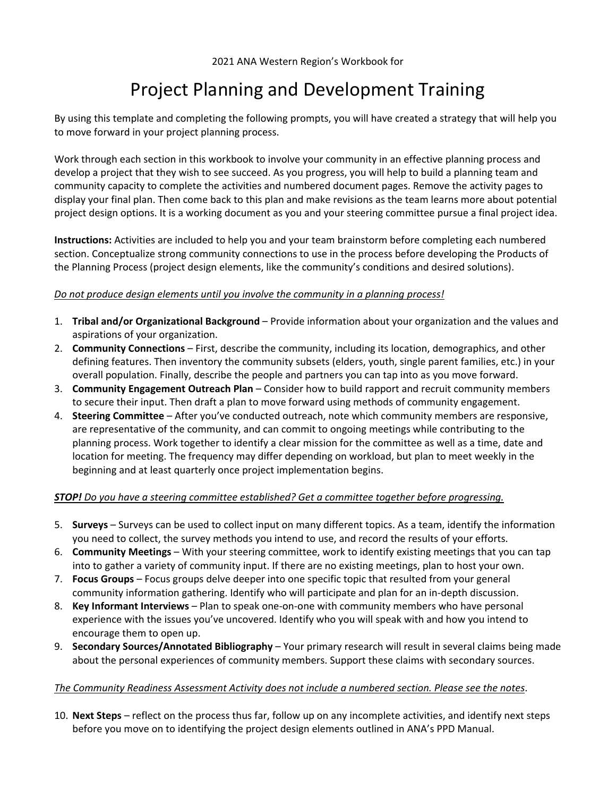### Project Planning and Development Training

By using this template and completing the following prompts, you will have created a strategy that will help you to move forward in your project planning process.

Work through each section in this workbook to involve your community in an effective planning process and develop a project that they wish to see succeed. As you progress, you will help to build a planning team and community capacity to complete the activities and numbered document pages. Remove the activity pages to display your final plan. Then come back to this plan and make revisions as the team learns more about potential project design options. It is a working document as you and your steering committee pursue a final project idea.

**Instructions:** Activities are included to help you and your team brainstorm before completing each numbered section. Conceptualize strong community connections to use in the process before developing the Products of the Planning Process (project design elements, like the community's conditions and desired solutions).

#### *Do not produce design elements until you involve the community in a planning process!*

- 1. **Tribal and/or Organizational Background** Provide information about your organization and the values and aspirations of your organization.
- 2. **Community Connections** First, describe the community, including its location, demographics, and other defining features. Then inventory the community subsets (elders, youth, single parent families, etc.) in your overall population. Finally, describe the people and partners you can tap into as you move forward.
- 3. **Community Engagement Outreach Plan** Consider how to build rapport and recruit community members to secure their input. Then draft a plan to move forward using methods of community engagement.
- 4. **Steering Committee** After you've conducted outreach, note which community members are responsive, are representative of the community, and can commit to ongoing meetings while contributing to the planning process. Work together to identify a clear mission for the committee as well as a time, date and location for meeting. The frequency may differ depending on workload, but plan to meet weekly in the beginning and at least quarterly once project implementation begins.

#### *STOP! Do you have a steering committee established? Get a committee together before progressing.*

- 5. **Surveys** Surveys can be used to collect input on many different topics. As a team, identify the information you need to collect, the survey methods you intend to use, and record the results of your efforts.
- 6. **Community Meetings** With your steering committee, work to identify existing meetings that you can tap into to gather a variety of community input. If there are no existing meetings, plan to host your own.
- 7. **Focus Groups** Focus groups delve deeper into one specific topic that resulted from your general community information gathering. Identify who will participate and plan for an in‐depth discussion.
- 8. **Key Informant Interviews** Plan to speak one‐on‐one with community members who have personal experience with the issues you've uncovered. Identify who you will speak with and how you intend to encourage them to open up.
- 9. **Secondary Sources/Annotated Bibliography** Your primary research will result in several claims being made about the personal experiences of community members. Support these claims with secondary sources.

#### *The Community Readiness Assessment Activity does not include a numbered section. Please see the notes*.

10. **Next Steps** – reflect on the process thus far, follow up on any incomplete activities, and identify next steps before you move on to identifying the project design elements outlined in ANA's PPD Manual.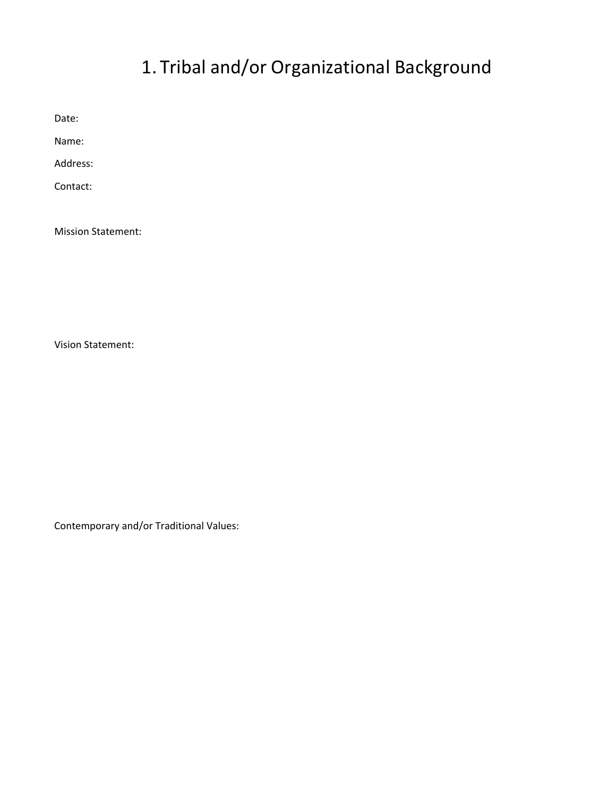# 1. Tribal and/or Organizational Background

Date:

Name:

Address:

Contact:

Mission Statement:

Vision Statement:

Contemporary and/or Traditional Values: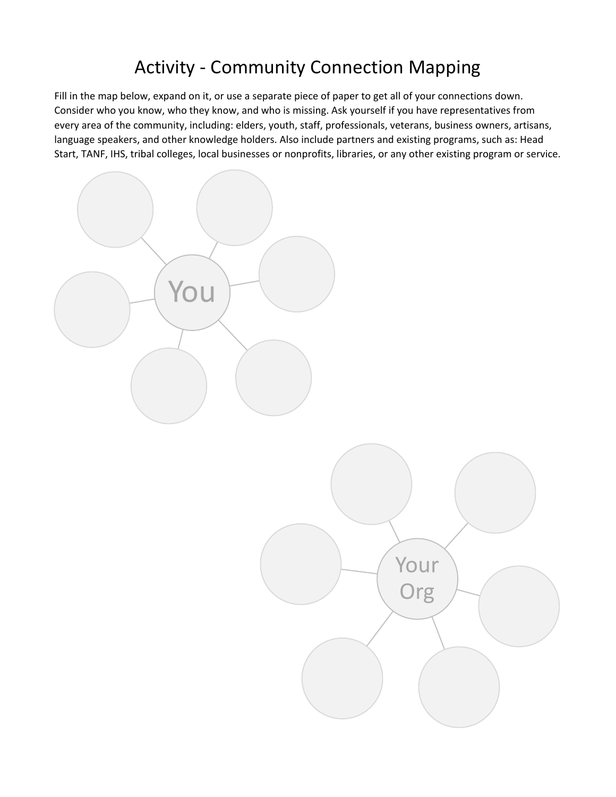## Activity ‐ Community Connection Mapping

Fill in the map below, expand on it, or use a separate piece of paper to get all of your connections down. Consider who you know, who they know, and who is missing. Ask yourself if you have representatives from every area of the community, including: elders, youth, staff, professionals, veterans, business owners, artisans, language speakers, and other knowledge holders. Also include partners and existing programs, such as: Head Start, TANF, IHS, tribal colleges, local businesses or nonprofits, libraries, or any other existing program or service.

Your

Org

You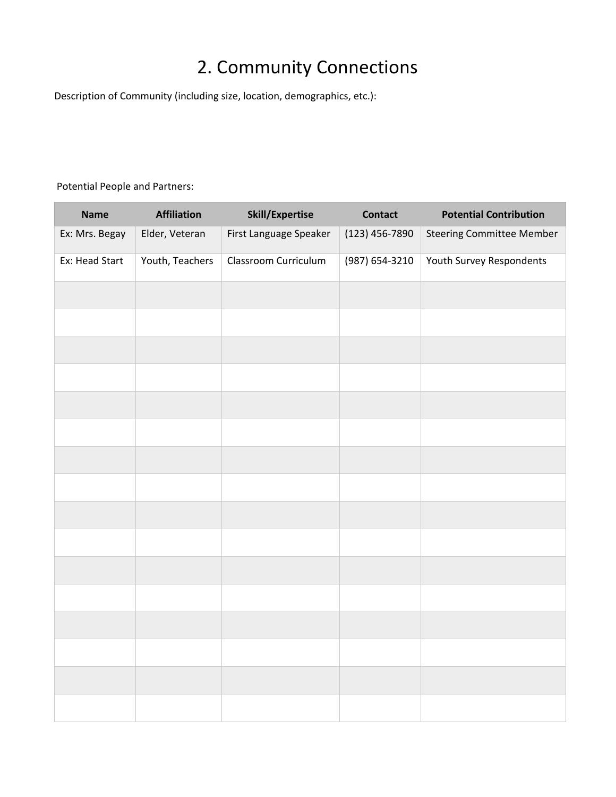## 2. Community Connections

Description of Community (including size, location, demographics, etc.):

#### Potential People and Partners:

| <b>Name</b>    | <b>Affiliation</b> | <b>Skill/Expertise</b> | <b>Contact</b> | <b>Potential Contribution</b>    |
|----------------|--------------------|------------------------|----------------|----------------------------------|
| Ex: Mrs. Begay | Elder, Veteran     | First Language Speaker | (123) 456-7890 | <b>Steering Committee Member</b> |
| Ex: Head Start | Youth, Teachers    | Classroom Curriculum   | (987) 654-3210 | Youth Survey Respondents         |
|                |                    |                        |                |                                  |
|                |                    |                        |                |                                  |
|                |                    |                        |                |                                  |
|                |                    |                        |                |                                  |
|                |                    |                        |                |                                  |
|                |                    |                        |                |                                  |
|                |                    |                        |                |                                  |
|                |                    |                        |                |                                  |
|                |                    |                        |                |                                  |
|                |                    |                        |                |                                  |
|                |                    |                        |                |                                  |
|                |                    |                        |                |                                  |
|                |                    |                        |                |                                  |
|                |                    |                        |                |                                  |
|                |                    |                        |                |                                  |
|                |                    |                        |                |                                  |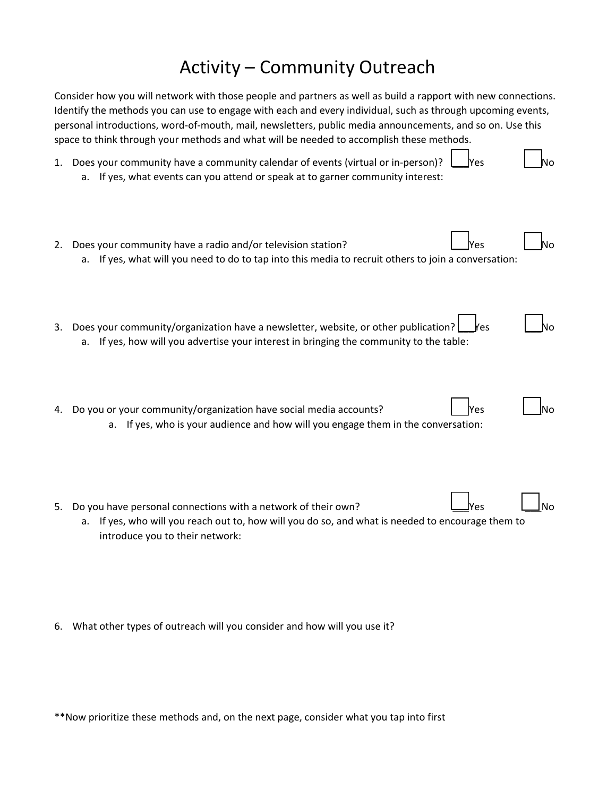## Activity – Community Outreach

|    | Consider how you will network with those people and partners as well as build a rapport with new connections.<br>Identify the methods you can use to engage with each and every individual, such as through upcoming events,<br>personal introductions, word-of-mouth, mail, newsletters, public media announcements, and so on. Use this<br>space to think through your methods and what will be needed to accomplish these methods. |
|----|---------------------------------------------------------------------------------------------------------------------------------------------------------------------------------------------------------------------------------------------------------------------------------------------------------------------------------------------------------------------------------------------------------------------------------------|
| 1. | Does your community have a community calendar of events (virtual or in-person)?<br>Yes<br>If yes, what events can you attend or speak at to garner community interest:<br>а.                                                                                                                                                                                                                                                          |
| 2. | Does your community have a radio and/or television station?<br>'es<br>N٥<br>If yes, what will you need to do to tap into this media to recruit others to join a conversation:<br>a.                                                                                                                                                                                                                                                   |
| 3. | Does your community/organization have a newsletter, website, or other publication?<br>Ƙes<br>If yes, how will you advertise your interest in bringing the community to the table:<br>а.                                                                                                                                                                                                                                               |
| 4. | Do you or your community/organization have social media accounts?<br>Yes<br>งი<br>a. If yes, who is your audience and how will you engage them in the conversation:                                                                                                                                                                                                                                                                   |
| 5. | Do you have personal connections with a network of their own?<br>N٥<br>/es<br>If yes, who will you reach out to, how will you do so, and what is needed to encourage them to<br>a.<br>introduce you to their network:                                                                                                                                                                                                                 |

6. What other types of outreach will you consider and how will you use it?

\*\*Now prioritize these methods and, on the next page, consider what you tap into first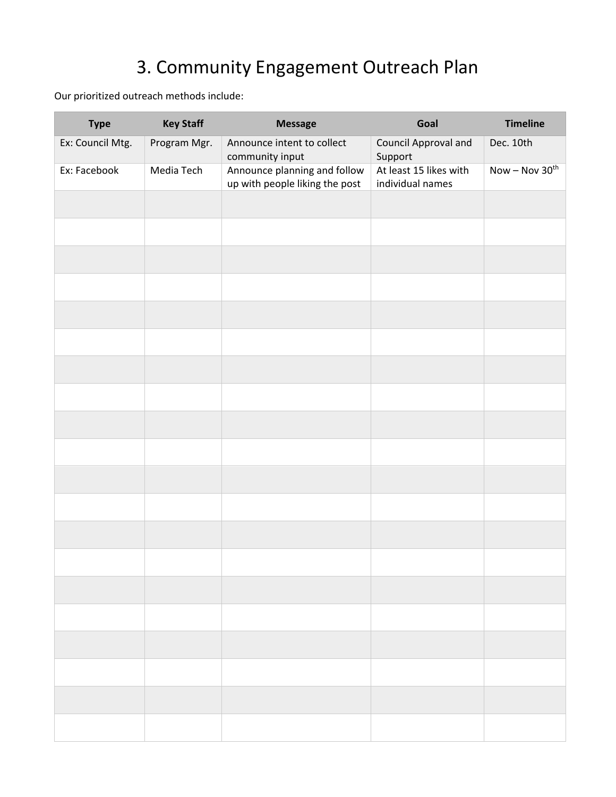# 3. Community Engagement Outreach Plan

Our prioritized outreach methods include:

| <b>Type</b>      | <b>Key Staff</b> | <b>Message</b>                                                 | Goal                                       | <b>Timeline</b>  |
|------------------|------------------|----------------------------------------------------------------|--------------------------------------------|------------------|
| Ex: Council Mtg. | Program Mgr.     | Announce intent to collect<br>community input                  | Council Approval and<br>Support            | Dec. 10th        |
| Ex: Facebook     | Media Tech       | Announce planning and follow<br>up with people liking the post | At least 15 likes with<br>individual names | $Now - Nov 30th$ |
|                  |                  |                                                                |                                            |                  |
|                  |                  |                                                                |                                            |                  |
|                  |                  |                                                                |                                            |                  |
|                  |                  |                                                                |                                            |                  |
|                  |                  |                                                                |                                            |                  |
|                  |                  |                                                                |                                            |                  |
|                  |                  |                                                                |                                            |                  |
|                  |                  |                                                                |                                            |                  |
|                  |                  |                                                                |                                            |                  |
|                  |                  |                                                                |                                            |                  |
|                  |                  |                                                                |                                            |                  |
|                  |                  |                                                                |                                            |                  |
|                  |                  |                                                                |                                            |                  |
|                  |                  |                                                                |                                            |                  |
|                  |                  |                                                                |                                            |                  |
|                  |                  |                                                                |                                            |                  |
|                  |                  |                                                                |                                            |                  |
|                  |                  |                                                                |                                            |                  |
|                  |                  |                                                                |                                            |                  |
|                  |                  |                                                                |                                            |                  |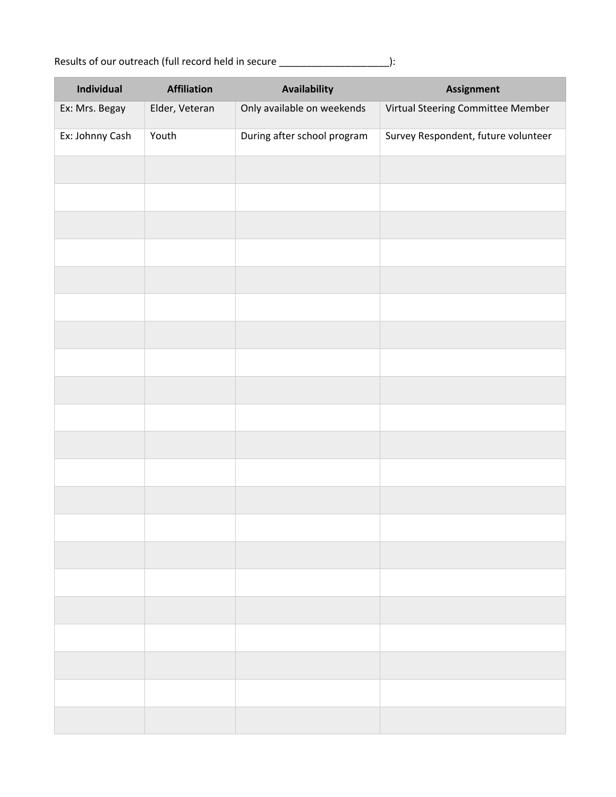Results of our outreach (full record held in secure \_\_\_\_\_\_\_\_\_\_\_\_\_\_\_\_\_\_\_\_\_\_\_\_\_\_\_\_):

| Individual      | <b>Affiliation</b> | Availability                | <b>Assignment</b>                   |
|-----------------|--------------------|-----------------------------|-------------------------------------|
| Ex: Mrs. Begay  | Elder, Veteran     | Only available on weekends  | Virtual Steering Committee Member   |
| Ex: Johnny Cash | Youth              | During after school program | Survey Respondent, future volunteer |
|                 |                    |                             |                                     |
|                 |                    |                             |                                     |
|                 |                    |                             |                                     |
|                 |                    |                             |                                     |
|                 |                    |                             |                                     |
|                 |                    |                             |                                     |
|                 |                    |                             |                                     |
|                 |                    |                             |                                     |
|                 |                    |                             |                                     |
|                 |                    |                             |                                     |
|                 |                    |                             |                                     |
|                 |                    |                             |                                     |
|                 |                    |                             |                                     |
|                 |                    |                             |                                     |
|                 |                    |                             |                                     |
|                 |                    |                             |                                     |
|                 |                    |                             |                                     |
|                 |                    |                             |                                     |
|                 |                    |                             |                                     |
|                 |                    |                             |                                     |
|                 |                    |                             |                                     |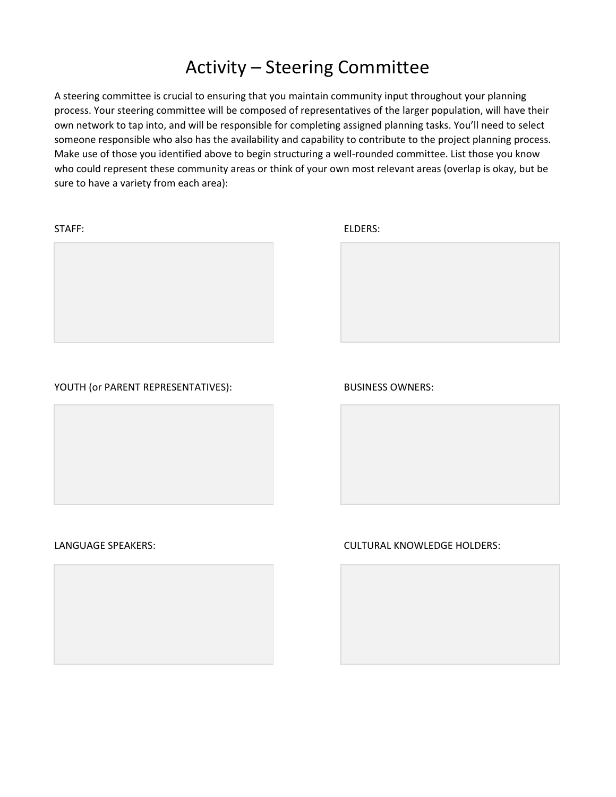### Activity – Steering Committee

A steering committee is crucial to ensuring that you maintain community input throughout your planning process. Your steering committee will be composed of representatives of the larger population, will have their own network to tap into, and will be responsible for completing assigned planning tasks. You'll need to select someone responsible who also has the availability and capability to contribute to the project planning process. Make use of those you identified above to begin structuring a well‐rounded committee. List those you know who could represent these community areas or think of your own most relevant areas (overlap is okay, but be sure to have a variety from each area):

STAFF: ELDERS:





#### YOUTH (OF PARENT REPRESENTATIVES): BUSINESS OWNERS:





LANGUAGE SPEAKERS: CULTURAL KNOWLEDGE HOLDERS:

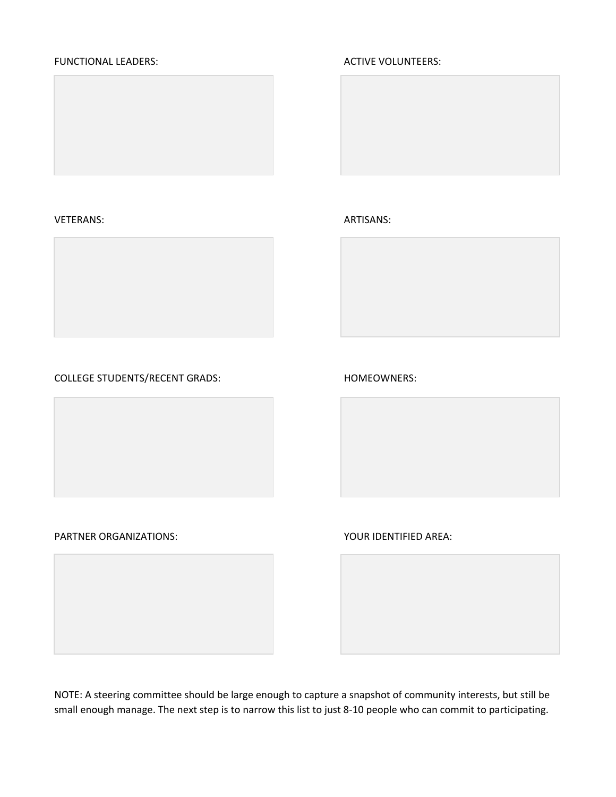#### FUNCTIONAL LEADERS: ACTIVE VOLUNTEERS:



#### VETERANS: ARTISANS:









#### PARTNER ORGANIZATIONS:  $\begin{array}{ccc} \bullet \end{array}$  YOUR IDENTIFIED AREA:

NOTE: A steering committee should be large enough to capture a snapshot of community interests, but still be small enough manage. The next step is to narrow this list to just 8‐10 people who can commit to participating.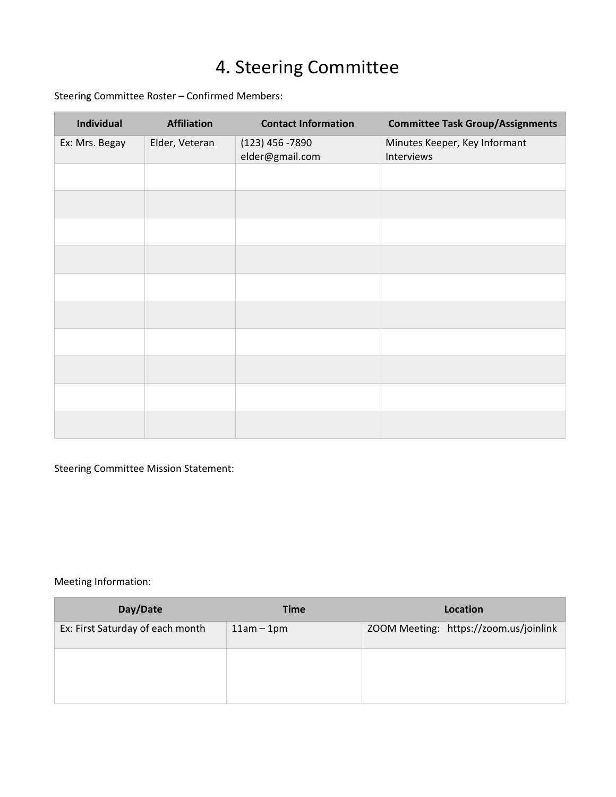# 4. Steering Committee

Steering Committee Roster – Confirmed Members:

| <b>Individual</b> | <b>Affiliation</b> | <b>Contact Information</b>           | <b>Committee Task Group/Assignments</b>     |
|-------------------|--------------------|--------------------------------------|---------------------------------------------|
| Ex: Mrs. Begay    | Elder, Veteran     | $(123)$ 456 -7890<br>elder@gmail.com | Minutes Keeper, Key Informant<br>Interviews |
|                   |                    |                                      |                                             |
|                   |                    |                                      |                                             |
|                   |                    |                                      |                                             |
|                   |                    |                                      |                                             |
|                   |                    |                                      |                                             |
|                   |                    |                                      |                                             |
|                   |                    |                                      |                                             |
|                   |                    |                                      |                                             |
|                   |                    |                                      |                                             |
|                   |                    |                                      |                                             |

Steering Committee Mission Statement:

Meeting Information:

| Day/Date                         | <b>Time</b>  | Location                               |
|----------------------------------|--------------|----------------------------------------|
| Ex: First Saturday of each month | $11am - 1pm$ | ZOOM Meeting: https://zoom.us/joinlink |
|                                  |              |                                        |
|                                  |              |                                        |
|                                  |              |                                        |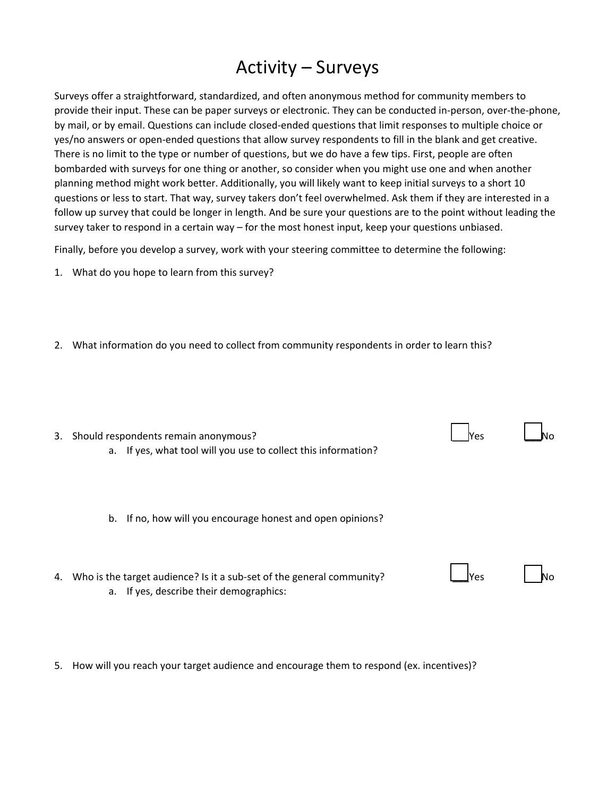#### Activity – Surveys

Surveys offer a straightforward, standardized, and often anonymous method for community members to provide their input. These can be paper surveys or electronic. They can be conducted in‐person, over‐the‐phone, by mail, or by email. Questions can include closed‐ended questions that limit responses to multiple choice or yes/no answers or open‐ended questions that allow survey respondents to fill in the blank and get creative. There is no limit to the type or number of questions, but we do have a few tips. First, people are often bombarded with surveys for one thing or another, so consider when you might use one and when another planning method might work better. Additionally, you will likely want to keep initial surveys to a short 10 questions or less to start. That way, survey takers don't feel overwhelmed. Ask them if they are interested in a follow up survey that could be longer in length. And be sure your questions are to the point without leading the survey taker to respond in a certain way – for the most honest input, keep your questions unbiased.

Finally, before you develop a survey, work with your steering committee to determine the following:

1. What do you hope to learn from this survey?

2. What information do you need to collect from community respondents in order to learn this?

| 3. | Should respondents remain anonymous?                                  | Yes  |  |
|----|-----------------------------------------------------------------------|------|--|
|    | a. If yes, what tool will you use to collect this information?        |      |  |
|    |                                                                       |      |  |
|    |                                                                       |      |  |
|    |                                                                       |      |  |
|    | If no, how will you encourage honest and open opinions?<br>b.         |      |  |
|    |                                                                       |      |  |
|    |                                                                       |      |  |
|    |                                                                       |      |  |
| 4. | Who is the target audience? Is it a sub-set of the general community? | lYes |  |
|    | a. If yes, describe their demographics:                               |      |  |

Е

5. How will you reach your target audience and encourage them to respond (ex. incentives)?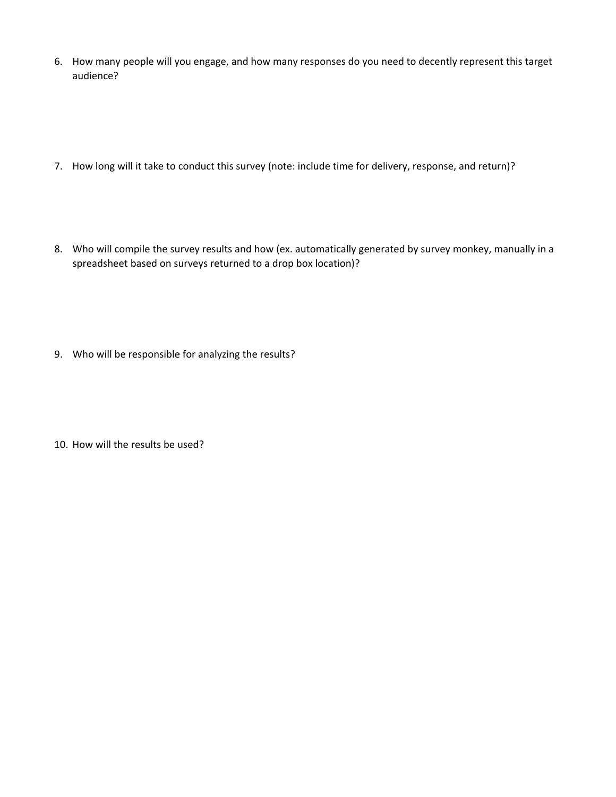- 6. How many people will you engage, and how many responses do you need to decently represent this target audience?
- 7. How long will it take to conduct this survey (note: include time for delivery, response, and return)?
- 8. Who will compile the survey results and how (ex. automatically generated by survey monkey, manually in a spreadsheet based on surveys returned to a drop box location)?
- 9. Who will be responsible for analyzing the results?
- 10. How will the results be used?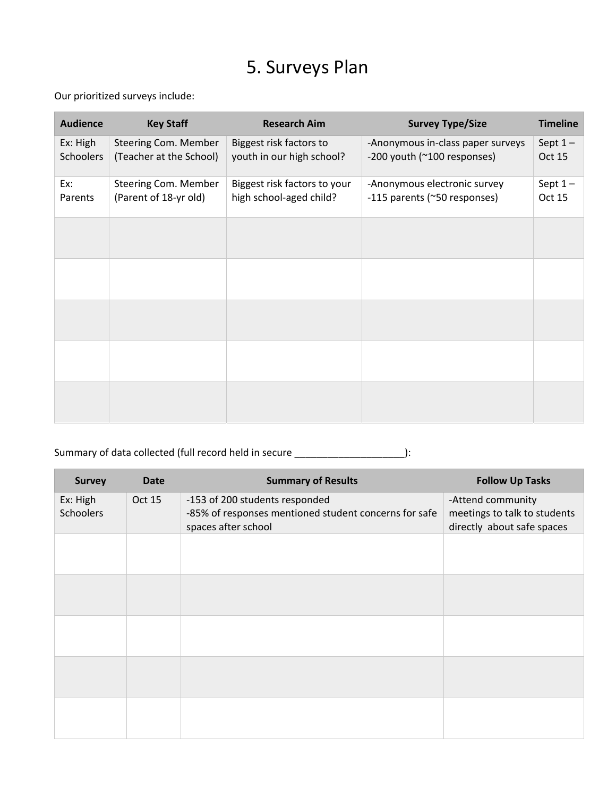# 5. Surveys Plan

Our prioritized surveys include:

à.

| <b>Audience</b>       | <b>Key Staff</b>                                | <b>Research Aim</b>                                     | <b>Survey Type/Size</b>                                          | <b>Timeline</b>     |
|-----------------------|-------------------------------------------------|---------------------------------------------------------|------------------------------------------------------------------|---------------------|
| Ex: High<br>Schoolers | Steering Com. Member<br>(Teacher at the School) | Biggest risk factors to<br>youth in our high school?    | -Anonymous in-class paper surveys<br>-200 youth (~100 responses) | Sept $1-$<br>Oct 15 |
| Ex:<br>Parents        | Steering Com. Member<br>(Parent of 18-yr old)   | Biggest risk factors to your<br>high school-aged child? | -Anonymous electronic survey<br>-115 parents (~50 responses)     | Sept $1-$<br>Oct 15 |
|                       |                                                 |                                                         |                                                                  |                     |
|                       |                                                 |                                                         |                                                                  |                     |
|                       |                                                 |                                                         |                                                                  |                     |
|                       |                                                 |                                                         |                                                                  |                     |
|                       |                                                 |                                                         |                                                                  |                     |

Summary of data collected (full record held in secure \_\_\_\_\_\_\_\_\_\_\_\_\_\_\_\_\_\_\_\_\_\_\_\_\_):

| <b>Survey</b>                | <b>Date</b> | <b>Summary of Results</b>                                                                                      | <b>Follow Up Tasks</b>                                                          |
|------------------------------|-------------|----------------------------------------------------------------------------------------------------------------|---------------------------------------------------------------------------------|
| Ex: High<br><b>Schoolers</b> | Oct 15      | -153 of 200 students responded<br>-85% of responses mentioned student concerns for safe<br>spaces after school | -Attend community<br>meetings to talk to students<br>directly about safe spaces |
|                              |             |                                                                                                                |                                                                                 |
|                              |             |                                                                                                                |                                                                                 |
|                              |             |                                                                                                                |                                                                                 |
|                              |             |                                                                                                                |                                                                                 |
|                              |             |                                                                                                                |                                                                                 |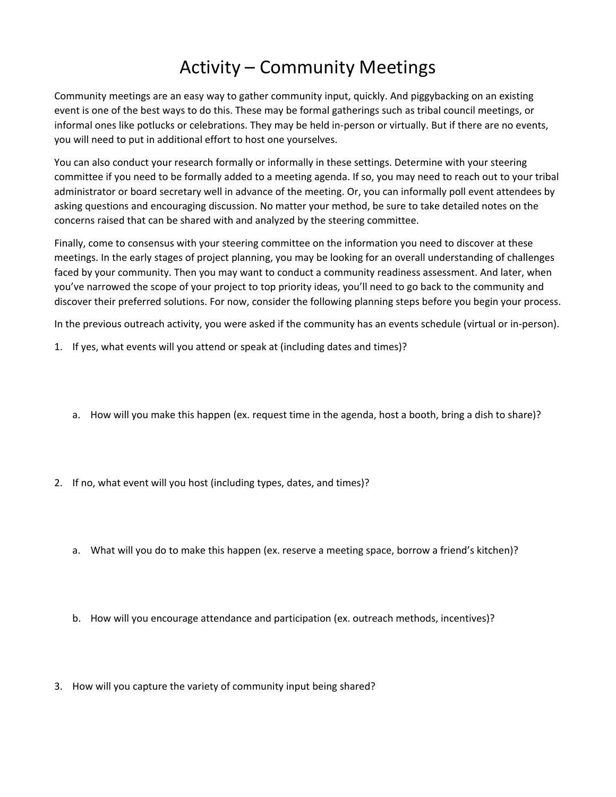## Activity – Community Meetings

Community meetings are an easy way to gather community input, quickly. And piggybacking on an existing event is one of the best ways to do this. These may be formal gatherings such as tribal council meetings, or informal ones like potlucks or celebrations. They may be held in‐person or virtually. But if there are no events, you will need to put in additional effort to host one yourselves.

You can also conduct your research formally or informally in these settings. Determine with your steering committee if you need to be formally added to a meeting agenda. If so, you may need to reach out to your tribal administrator or board secretary well in advance of the meeting. Or, you can informally poll event attendees by asking questions and encouraging discussion. No matter your method, be sure to take detailed notes on the concerns raised that can be shared with and analyzed by the steering committee.

Finally, come to consensus with your steering committee on the information you need to discover at these meetings. In the early stages of project planning, you may be looking for an overall understanding of challenges faced by your community. Then you may want to conduct a community readiness assessment. And later, when you've narrowed the scope of your project to top priority ideas, you'll need to go back to the community and discover their preferred solutions. For now, consider the following planning steps before you begin your process.

In the previous outreach activity, you were asked if the community has an events schedule (virtual or in‐person).

- 1. If yes, what events will you attend or speak at (including dates and times)?
	- a. How will you make this happen (ex. request time in the agenda, host a booth, bring a dish to share)?
- 2. If no, what event will you host (including types, dates, and times)?
	- a. What will you do to make this happen (ex. reserve a meeting space, borrow a friend's kitchen)?
	- b. How will you encourage attendance and participation (ex. outreach methods, incentives)?
- 3. How will you capture the variety of community input being shared?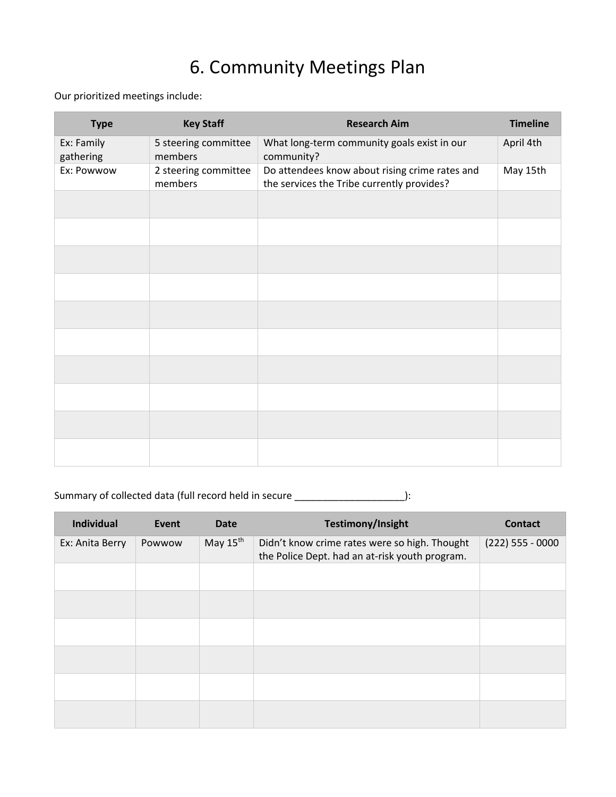## 6. Community Meetings Plan

Our prioritized meetings include:

| <b>Type</b>             | <b>Key Staff</b>                | <b>Research Aim</b>                                                                          | <b>Timeline</b> |
|-------------------------|---------------------------------|----------------------------------------------------------------------------------------------|-----------------|
| Ex: Family<br>gathering | 5 steering committee<br>members | What long-term community goals exist in our<br>community?                                    | April 4th       |
| Ex: Powwow              | 2 steering committee<br>members | Do attendees know about rising crime rates and<br>the services the Tribe currently provides? | May 15th        |
|                         |                                 |                                                                                              |                 |
|                         |                                 |                                                                                              |                 |
|                         |                                 |                                                                                              |                 |
|                         |                                 |                                                                                              |                 |
|                         |                                 |                                                                                              |                 |
|                         |                                 |                                                                                              |                 |
|                         |                                 |                                                                                              |                 |
|                         |                                 |                                                                                              |                 |
|                         |                                 |                                                                                              |                 |
|                         |                                 |                                                                                              |                 |

#### Summary of collected data (full record held in secure  $\frac{1}{\sqrt{1-\frac{1}{2}}}\left|\frac{1}{\sqrt{1-\frac{1}{2}}}\right|$

| Individual      | Event  | <b>Date</b>          | Testimony/Insight                                                                               | <b>Contact</b>     |
|-----------------|--------|----------------------|-------------------------------------------------------------------------------------------------|--------------------|
| Ex: Anita Berry | Powwow | May $15^{\text{th}}$ | Didn't know crime rates were so high. Thought<br>the Police Dept. had an at-risk youth program. | $(222)$ 555 - 0000 |
|                 |        |                      |                                                                                                 |                    |
|                 |        |                      |                                                                                                 |                    |
|                 |        |                      |                                                                                                 |                    |
|                 |        |                      |                                                                                                 |                    |
|                 |        |                      |                                                                                                 |                    |
|                 |        |                      |                                                                                                 |                    |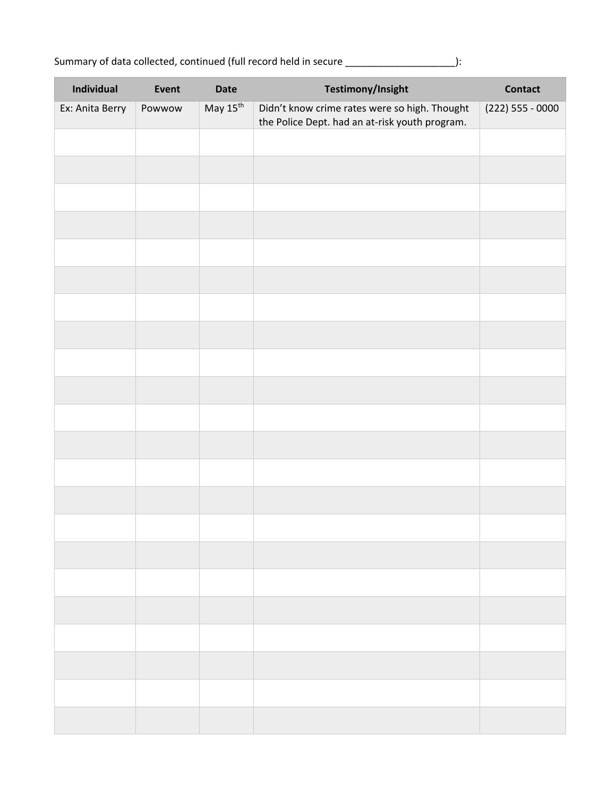| Individual      | Event  | <b>Date</b>          | <b>Testimony/Insight</b>                                                                        | <b>Contact</b>     |
|-----------------|--------|----------------------|-------------------------------------------------------------------------------------------------|--------------------|
| Ex: Anita Berry | Powwow | May 15 <sup>th</sup> | Didn't know crime rates were so high. Thought<br>the Police Dept. had an at-risk youth program. | $(222)$ 555 - 0000 |
|                 |        |                      |                                                                                                 |                    |
|                 |        |                      |                                                                                                 |                    |
|                 |        |                      |                                                                                                 |                    |
|                 |        |                      |                                                                                                 |                    |
|                 |        |                      |                                                                                                 |                    |
|                 |        |                      |                                                                                                 |                    |
|                 |        |                      |                                                                                                 |                    |
|                 |        |                      |                                                                                                 |                    |
|                 |        |                      |                                                                                                 |                    |
|                 |        |                      |                                                                                                 |                    |
|                 |        |                      |                                                                                                 |                    |
|                 |        |                      |                                                                                                 |                    |
|                 |        |                      |                                                                                                 |                    |
|                 |        |                      |                                                                                                 |                    |
|                 |        |                      |                                                                                                 |                    |
|                 |        |                      |                                                                                                 |                    |
|                 |        |                      |                                                                                                 |                    |
|                 |        |                      |                                                                                                 |                    |
|                 |        |                      |                                                                                                 |                    |
|                 |        |                      |                                                                                                 |                    |
|                 |        |                      |                                                                                                 |                    |
|                 |        |                      |                                                                                                 |                    |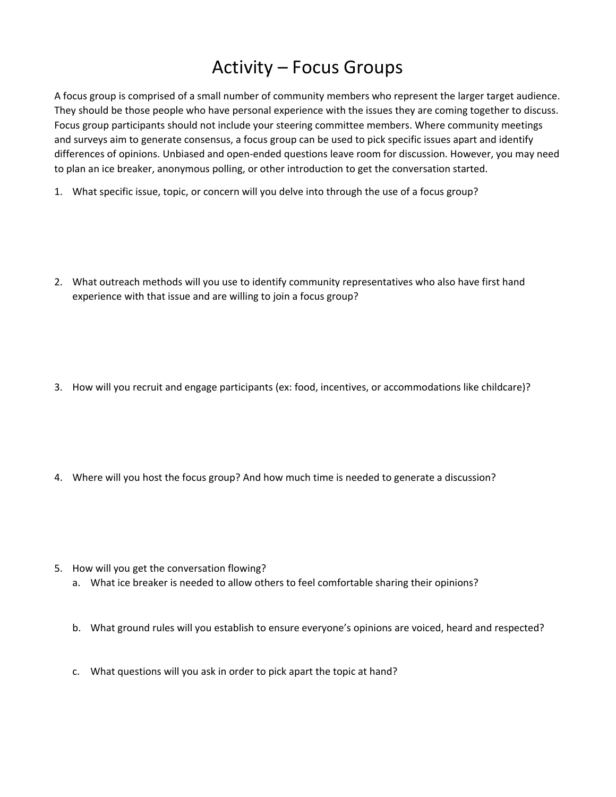#### Activity – Focus Groups

A focus group is comprised of a small number of community members who represent the larger target audience. They should be those people who have personal experience with the issues they are coming together to discuss. Focus group participants should not include your steering committee members. Where community meetings and surveys aim to generate consensus, a focus group can be used to pick specific issues apart and identify differences of opinions. Unbiased and open-ended questions leave room for discussion. However, you may need to plan an ice breaker, anonymous polling, or other introduction to get the conversation started.

- 1. What specific issue, topic, or concern will you delve into through the use of a focus group?
- 2. What outreach methods will you use to identify community representatives who also have first hand experience with that issue and are willing to join a focus group?
- 3. How will you recruit and engage participants (ex: food, incentives, or accommodations like childcare)?
- 4. Where will you host the focus group? And how much time is needed to generate a discussion?
- 5. How will you get the conversation flowing?
	- a. What ice breaker is needed to allow others to feel comfortable sharing their opinions?
	- b. What ground rules will you establish to ensure everyone's opinions are voiced, heard and respected?
	- c. What questions will you ask in order to pick apart the topic at hand?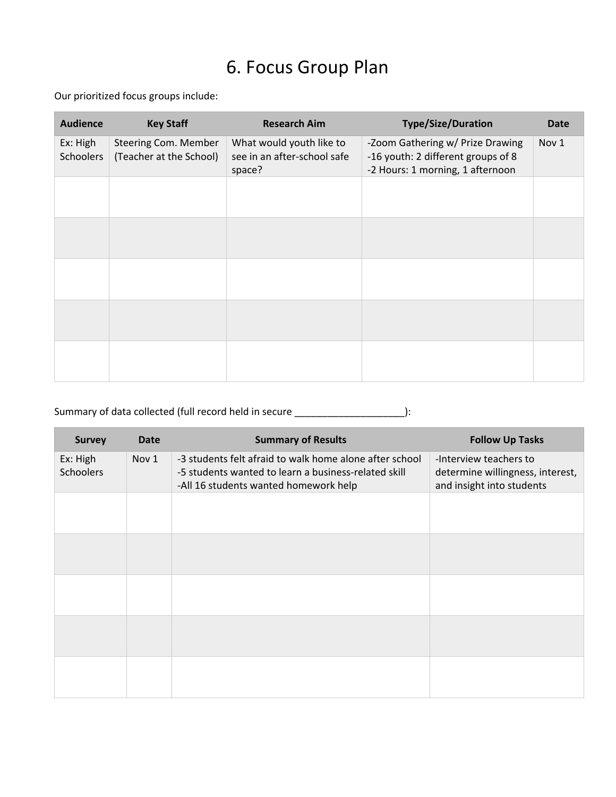### 6. Focus Group Plan

Our prioritized focus groups include:

| <b>Audience</b>       | <b>Key Staff</b>                                | <b>Research Aim</b>                                               | <b>Type/Size/Duration</b>                                                                                  | <b>Date</b>      |
|-----------------------|-------------------------------------------------|-------------------------------------------------------------------|------------------------------------------------------------------------------------------------------------|------------------|
| Ex: High<br>Schoolers | Steering Com. Member<br>(Teacher at the School) | What would youth like to<br>see in an after-school safe<br>space? | -Zoom Gathering w/ Prize Drawing<br>-16 youth: 2 different groups of 8<br>-2 Hours: 1 morning, 1 afternoon | Nov <sub>1</sub> |
|                       |                                                 |                                                                   |                                                                                                            |                  |
|                       |                                                 |                                                                   |                                                                                                            |                  |
|                       |                                                 |                                                                   |                                                                                                            |                  |
|                       |                                                 |                                                                   |                                                                                                            |                  |
|                       |                                                 |                                                                   |                                                                                                            |                  |

#### Summary of data collected (full record held in secure \_\_\_\_\_\_\_\_\_\_\_\_\_\_\_\_\_\_\_\_\_\_\_\_\_\_):

| <b>Survey</b>                | Date  | <b>Summary of Results</b>                                                                                                                                | <b>Follow Up Tasks</b>                                                                  |
|------------------------------|-------|----------------------------------------------------------------------------------------------------------------------------------------------------------|-----------------------------------------------------------------------------------------|
| Ex: High<br><b>Schoolers</b> | Nov 1 | -3 students felt afraid to walk home alone after school<br>-5 students wanted to learn a business-related skill<br>-All 16 students wanted homework help | -Interview teachers to<br>determine willingness, interest,<br>and insight into students |
|                              |       |                                                                                                                                                          |                                                                                         |
|                              |       |                                                                                                                                                          |                                                                                         |
|                              |       |                                                                                                                                                          |                                                                                         |
|                              |       |                                                                                                                                                          |                                                                                         |
|                              |       |                                                                                                                                                          |                                                                                         |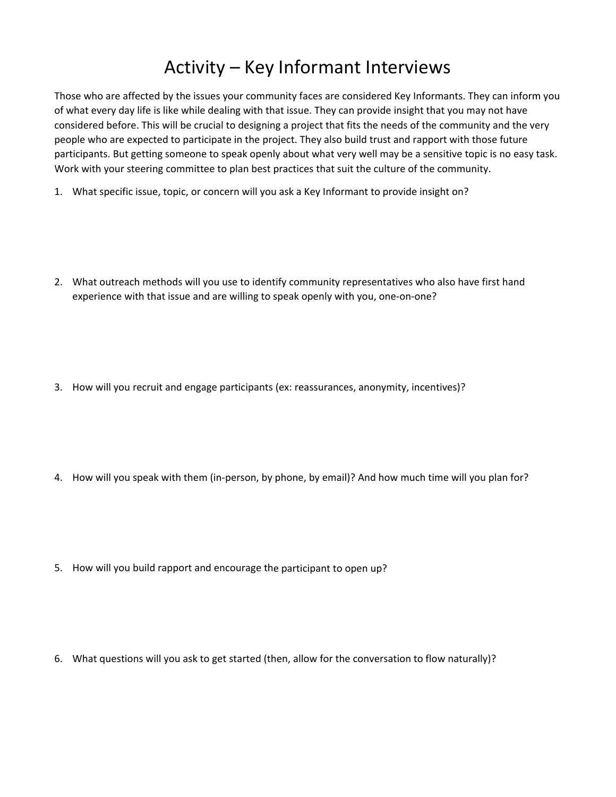### Activity – Key Informant Interviews

Those who are affected by the issues your community faces are considered Key Informants. They can inform you of what every day life is like while dealing with that issue. They can provide insight that you may not have considered before. This will be crucial to designing a project that fits the needs of the community and the very people who are expected to participate in the project. They also build trust and rapport with those future participants. But getting someone to speak openly about what very well may be a sensitive topic is no easy task. Work with your steering committee to plan best practices that suit the culture of the community.

- 1. What specific issue, topic, or concern will you ask a Key Informant to provide insight on?
- 2. What outreach methods will you use to identify community representatives who also have first hand experience with that issue and are willing to speak openly with you, one‐on‐one?
- 3. How will you recruit and engage participants (ex: reassurances, anonymity, incentives)?
- 4. How will you speak with them (in-person, by phone, by email)? And how much time will you plan for?
- 5. How will you build rapport and encourage the participant to open up?
- 6. What questions will you ask to get started (then, allow for the conversation to flow naturally)?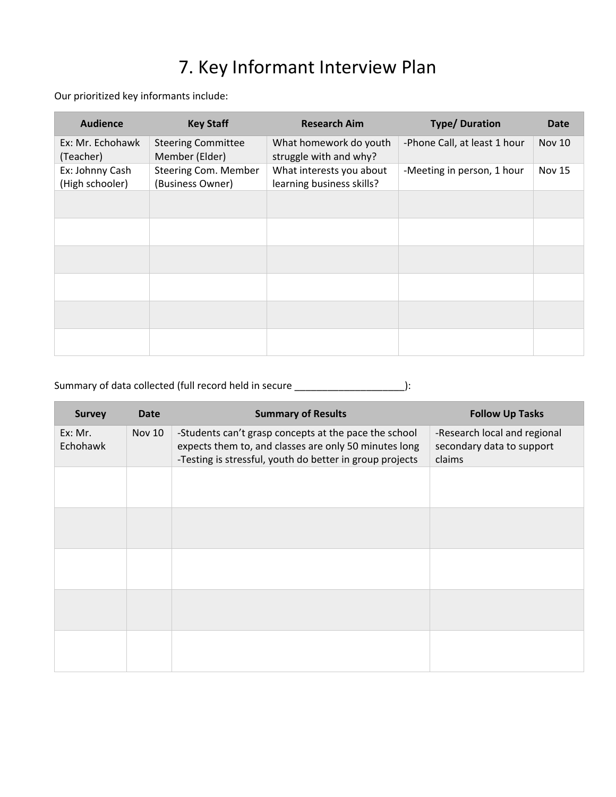# 7. Key Informant Interview Plan

Our prioritized key informants include:

| <b>Audience</b>                    | <b>Key Staff</b>                            | <b>Research Aim</b>                                   | <b>Type/Duration</b>         | Date          |
|------------------------------------|---------------------------------------------|-------------------------------------------------------|------------------------------|---------------|
| Ex: Mr. Echohawk<br>(Teacher)      | <b>Steering Committee</b><br>Member (Elder) | What homework do youth<br>struggle with and why?      | -Phone Call, at least 1 hour | <b>Nov 10</b> |
| Ex: Johnny Cash<br>(High schooler) | Steering Com. Member<br>(Business Owner)    | What interests you about<br>learning business skills? | -Meeting in person, 1 hour   | <b>Nov 15</b> |
|                                    |                                             |                                                       |                              |               |
|                                    |                                             |                                                       |                              |               |
|                                    |                                             |                                                       |                              |               |
|                                    |                                             |                                                       |                              |               |
|                                    |                                             |                                                       |                              |               |
|                                    |                                             |                                                       |                              |               |

#### Summary of data collected (full record held in secure \_\_\_\_\_\_\_\_\_\_\_\_\_\_\_\_\_\_\_\_\_\_\_\_\_):

| <b>Survey</b>       | Date          | <b>Summary of Results</b>                                                                                                                                                  | <b>Follow Up Tasks</b>                                              |
|---------------------|---------------|----------------------------------------------------------------------------------------------------------------------------------------------------------------------------|---------------------------------------------------------------------|
| Ex: Mr.<br>Echohawk | <b>Nov 10</b> | -Students can't grasp concepts at the pace the school<br>expects them to, and classes are only 50 minutes long<br>-Testing is stressful, youth do better in group projects | -Research local and regional<br>secondary data to support<br>claims |
|                     |               |                                                                                                                                                                            |                                                                     |
|                     |               |                                                                                                                                                                            |                                                                     |
|                     |               |                                                                                                                                                                            |                                                                     |
|                     |               |                                                                                                                                                                            |                                                                     |
|                     |               |                                                                                                                                                                            |                                                                     |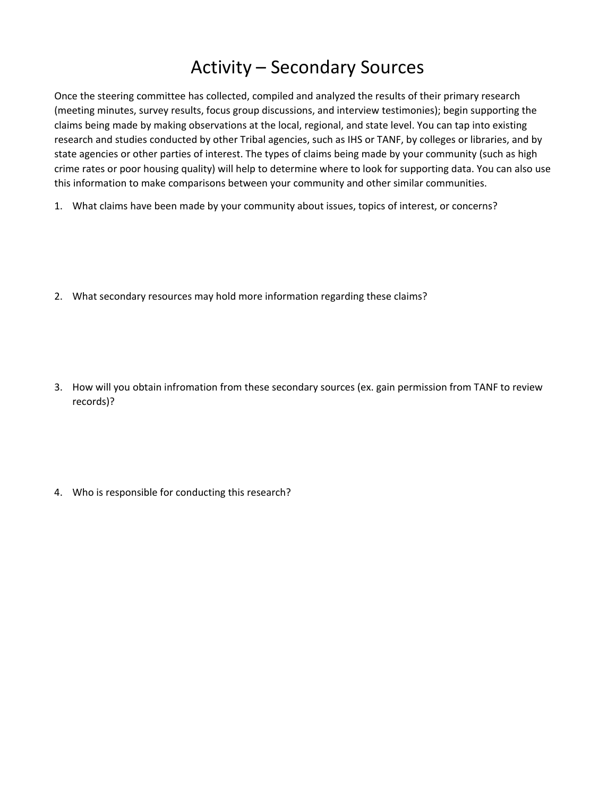#### Activity – Secondary Sources

Once the steering committee has collected, compiled and analyzed the results of their primary research (meeting minutes, survey results, focus group discussions, and interview testimonies); begin supporting the claims being made by making observations at the local, regional, and state level. You can tap into existing research and studies conducted by other Tribal agencies, such as IHS or TANF, by colleges or libraries, and by state agencies or other parties of interest. The types of claims being made by your community (such as high crime rates or poor housing quality) will help to determine where to look for supporting data. You can also use this information to make comparisons between your community and other similar communities.

- 1. What claims have been made by your community about issues, topics of interest, or concerns?
- 2. What secondary resources may hold more information regarding these claims?
- 3. How will you obtain infromation from these secondary sources (ex. gain permission from TANF to review records)?
- 4. Who is responsible for conducting this research?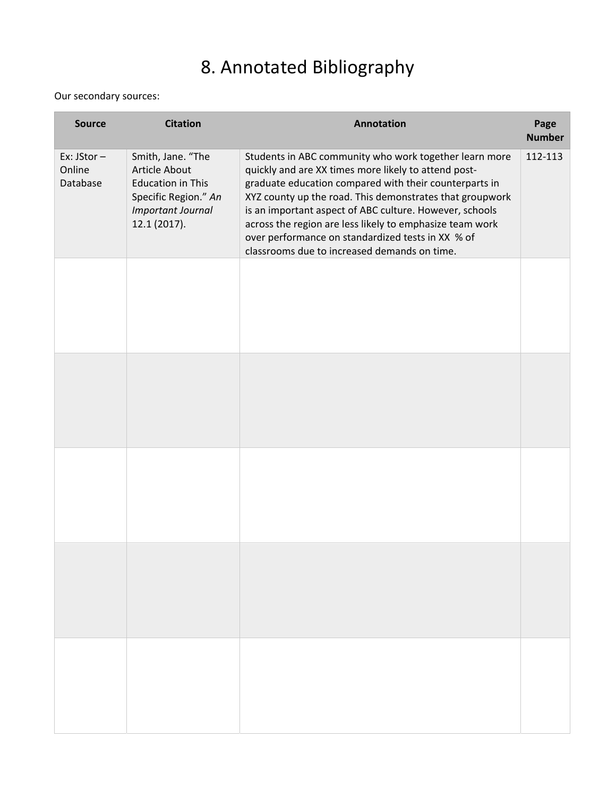# 8. Annotated Bibliography

Our secondary sources:

| <b>Source</b>                    | <b>Citation</b>                                                                                                                    | <b>Annotation</b>                                                                                                                                                                                                                                                                                                                                                                                                                                                | Page<br><b>Number</b> |
|----------------------------------|------------------------------------------------------------------------------------------------------------------------------------|------------------------------------------------------------------------------------------------------------------------------------------------------------------------------------------------------------------------------------------------------------------------------------------------------------------------------------------------------------------------------------------------------------------------------------------------------------------|-----------------------|
| Ex: JStor-<br>Online<br>Database | Smith, Jane. "The<br><b>Article About</b><br><b>Education in This</b><br>Specific Region." An<br>Important Journal<br>12.1 (2017). | Students in ABC community who work together learn more<br>quickly and are XX times more likely to attend post-<br>graduate education compared with their counterparts in<br>XYZ county up the road. This demonstrates that groupwork<br>is an important aspect of ABC culture. However, schools<br>across the region are less likely to emphasize team work<br>over performance on standardized tests in XX % of<br>classrooms due to increased demands on time. | 112-113               |
|                                  |                                                                                                                                    |                                                                                                                                                                                                                                                                                                                                                                                                                                                                  |                       |
|                                  |                                                                                                                                    |                                                                                                                                                                                                                                                                                                                                                                                                                                                                  |                       |
|                                  |                                                                                                                                    |                                                                                                                                                                                                                                                                                                                                                                                                                                                                  |                       |
|                                  |                                                                                                                                    |                                                                                                                                                                                                                                                                                                                                                                                                                                                                  |                       |
|                                  |                                                                                                                                    |                                                                                                                                                                                                                                                                                                                                                                                                                                                                  |                       |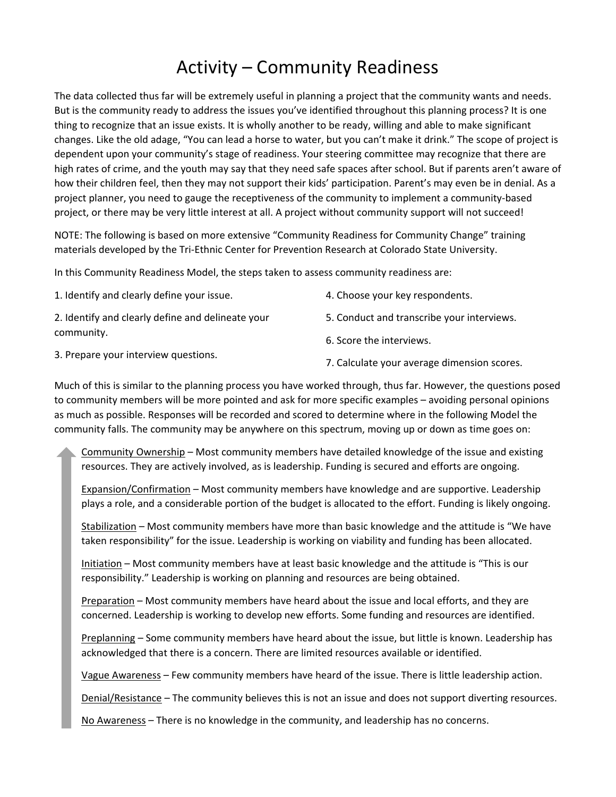### Activity – Community Readiness

The data collected thus far will be extremely useful in planning a project that the community wants and needs. But is the community ready to address the issues you've identified throughout this planning process? It is one thing to recognize that an issue exists. It is wholly another to be ready, willing and able to make significant changes. Like the old adage, "You can lead a horse to water, but you can't make it drink." The scope of project is dependent upon your community's stage of readiness. Your steering committee may recognize that there are high rates of crime, and the youth may say that they need safe spaces after school. But if parents aren't aware of how their children feel, then they may not support their kids' participation. Parent's may even be in denial. As a project planner, you need to gauge the receptiveness of the community to implement a community-based project, or there may be very little interest at all. A project without community support will not succeed!

NOTE: The following is based on more extensive "Community Readiness for Community Change" training materials developed by the Tri‐Ethnic Center for Prevention Research at Colorado State University.

In this Community Readiness Model, the steps taken to assess community readiness are:

| 1. Identify and clearly define your issue.        | 4. Choose your key respondents.            |
|---------------------------------------------------|--------------------------------------------|
| 2. Identify and clearly define and delineate your | 5. Conduct and transcribe your interviews. |
| community.                                        | 6. Score the interviews.                   |

3. Prepare your interview questions.

7. Calculate your average dimension scores.

Much of this is similar to the planning process you have worked through, thus far. However, the questions posed to community members will be more pointed and ask for more specific examples – avoiding personal opinions as much as possible. Responses will be recorded and scored to determine where in the following Model the community falls. The community may be anywhere on this spectrum, moving up or down as time goes on:

Community Ownership – Most community members have detailed knowledge of the issue and existing resources. They are actively involved, as is leadership. Funding is secured and efforts are ongoing.

Expansion/Confirmation – Most community members have knowledge and are supportive. Leadership plays a role, and a considerable portion of the budget is allocated to the effort. Funding is likely ongoing.

Stabilization – Most community members have more than basic knowledge and the attitude is "We have taken responsibility" for the issue. Leadership is working on viability and funding has been allocated.

Initiation – Most community members have at least basic knowledge and the attitude is "This is our responsibility." Leadership is working on planning and resources are being obtained.

Preparation – Most community members have heard about the issue and local efforts, and they are concerned. Leadership is working to develop new efforts. Some funding and resources are identified.

Preplanning – Some community members have heard about the issue, but little is known. Leadership has acknowledged that there is a concern. There are limited resources available or identified.

Vague Awareness – Few community members have heard of the issue. There is little leadership action.

Denial/Resistance – The community believes this is not an issue and does not support diverting resources.

No Awareness – There is no knowledge in the community, and leadership has no concerns.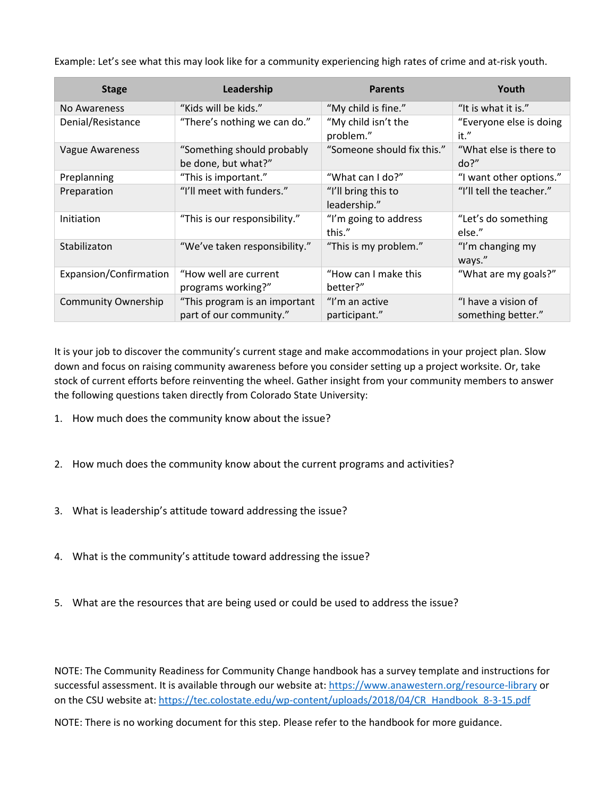Example: Let's see what this may look like for a community experiencing high rates of crime and at‐risk youth.

| <b>Stage</b>               | Leadership                                               | <b>Parents</b>                      | Youth                                     |
|----------------------------|----------------------------------------------------------|-------------------------------------|-------------------------------------------|
| No Awareness               | "Kids will be kids."                                     | "My child is fine."                 | "It is what it is."                       |
| Denial/Resistance          | "There's nothing we can do."                             | "My child isn't the<br>problem."    | "Everyone else is doing<br>it."           |
| Vague Awareness            | "Something should probably<br>be done, but what?"        | "Someone should fix this."          | "What else is there to<br>do?"            |
| Preplanning                | "This is important."                                     | "What can I do?"                    | "I want other options."                   |
| Preparation                | "I'll meet with funders."                                | "I'll bring this to<br>leadership." | "I'll tell the teacher."                  |
| Initiation                 | "This is our responsibility."                            | "I'm going to address<br>this."     | "Let's do something<br>else."             |
| Stabilizaton               | "We've taken responsibility."                            | "This is my problem."               | "I'm changing my<br>ways."                |
| Expansion/Confirmation     | "How well are current<br>programs working?"              | "How can I make this<br>better?"    | "What are my goals?"                      |
| <b>Community Ownership</b> | "This program is an important<br>part of our community." | "I'm an active<br>participant."     | "I have a vision of<br>something better." |

It is your job to discover the community's current stage and make accommodations in your project plan. Slow down and focus on raising community awareness before you consider setting up a project worksite. Or, take stock of current efforts before reinventing the wheel. Gather insight from your community members to answer the following questions taken directly from Colorado State University:

- 1. How much does the community know about the issue?
- 2. How much does the community know about the current programs and activities?
- 3. What is leadership's attitude toward addressing the issue?
- 4. What is the community's attitude toward addressing the issue?
- 5. What are the resources that are being used or could be used to address the issue?

NOTE: The Community Readiness for Community Change handbook has a survey template and instructions for successful assessment. It is available through our website at: https://www.anawestern.org/resource-library or on the CSU website at: https://tec.colostate.edu/wp-content/uploads/2018/04/CR\_Handbook\_8-3-15.pdf

NOTE: There is no working document for this step. Please refer to the handbook for more guidance.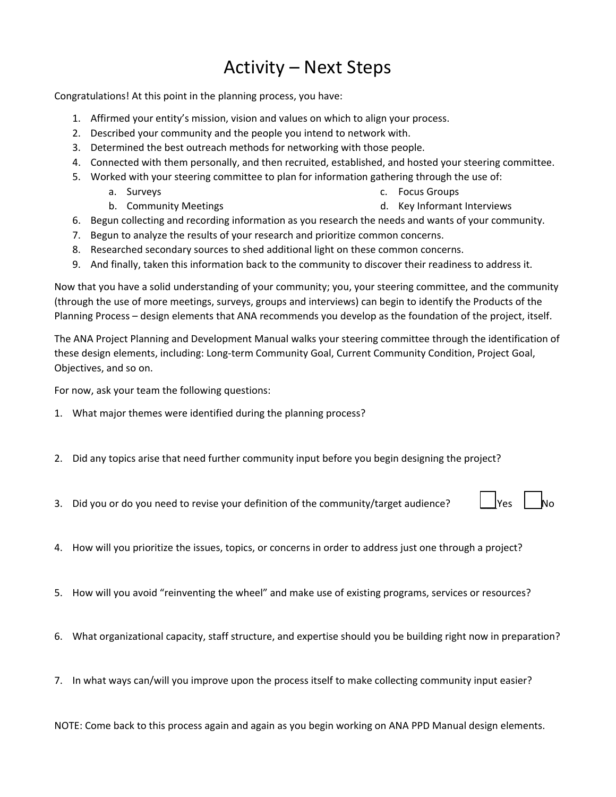### Activity – Next Steps

Congratulations! At this point in the planning process, you have:

- 1. Affirmed your entity's mission, vision and values on which to align your process.
- 2. Described your community and the people you intend to network with.
- 3. Determined the best outreach methods for networking with those people.
- 4. Connected with them personally, and then recruited, established, and hosted your steering committee.
- 5. Worked with your steering committee to plan for information gathering through the use of:
	- a. Surveys c. Focus Groups
		- b. Community Meetings

- d. Key Informant Interviews
- 6. Begun collecting and recording information as you research the needs and wants of your community.
- 7. Begun to analyze the results of your research and prioritize common concerns.
- 8. Researched secondary sources to shed additional light on these common concerns.
- 9. And finally, taken this information back to the community to discover their readiness to address it.

Now that you have a solid understanding of your community; you, your steering committee, and the community (through the use of more meetings, surveys, groups and interviews) can begin to identify the Products of the Planning Process – design elements that ANA recommends you develop as the foundation of the project, itself.

The ANA Project Planning and Development Manual walks your steering committee through the identification of these design elements, including: Long‐term Community Goal, Current Community Condition, Project Goal, Objectives, and so on.

For now, ask your team the following questions:

- 1. What major themes were identified during the planning process?
- 2. Did any topics arise that need further community input before you begin designing the project?
- 3. Did you or do you need to revise your definition of the community/target audience?
- 4. How will you prioritize the issues, topics, or concerns in order to address just one through a project?
- 5. How will you avoid "reinventing the wheel" and make use of existing programs, services or resources?
- 6. What organizational capacity, staff structure, and expertise should you be building right now in preparation?
- 7. In what ways can/will you improve upon the process itself to make collecting community input easier?

NOTE: Come back to this process again and again as you begin working on ANA PPD Manual design elements.